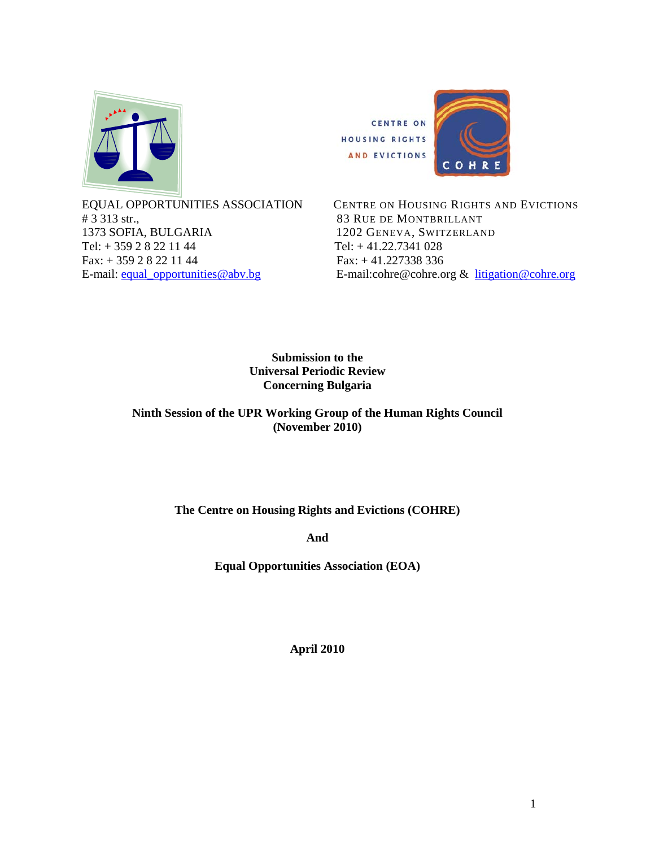

# 3 313 str.,<br>1373 SOFIA, BULGARIA 1202 GENEVA, SWITZERLANT Tel:  $+ 35928221144$  Tel:  $+ 41.22.7341028$ Fax: + 359 2 8 22 11 44 Fax: + 41.227338 336



 EQUAL OPPORTUNITIES ASSOCIATION CENTRE ON HOUSING RIGHTS AND EVICTIONS 1202 GENEVA, SWITZERLAND E-mail: equal\_opportunities@abv.bg E-mail:cohre@cohre.org & litigation@cohre.org

> **Submission to the Universal Periodic Review Concerning Bulgaria**

**Ninth Session of the UPR Working Group of the Human Rights Council (November 2010)** 

**The Centre on Housing Rights and Evictions (COHRE)** 

**And** 

**Equal Opportunities Association (EOA)** 

**April 2010**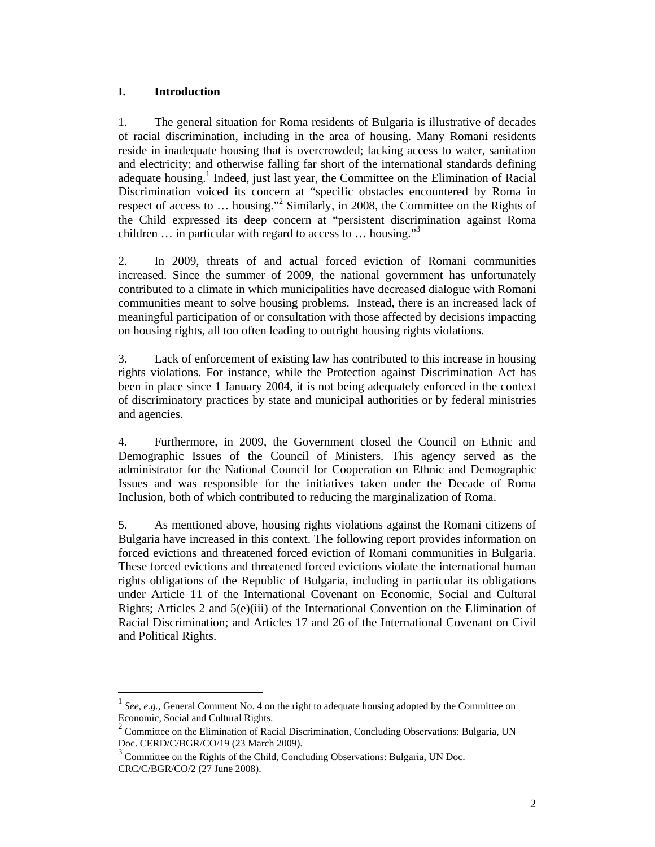## **I. Introduction**

 $\overline{a}$ 

1. The general situation for Roma residents of Bulgaria is illustrative of decades of racial discrimination, including in the area of housing. Many Romani residents reside in inadequate housing that is overcrowded; lacking access to water, sanitation and electricity; and otherwise falling far short of the international standards defining adequate housing.<sup>1</sup> Indeed, just last year, the Committee on the Elimination of Racial Discrimination voiced its concern at "specific obstacles encountered by Roma in respect of access to ... housing."<sup>2</sup> Similarly, in 2008, the Committee on the Rights of the Child expressed its deep concern at "persistent discrimination against Roma children  $\ldots$  in particular with regard to access to  $\ldots$  housing."<sup>3</sup>

2. In 2009, threats of and actual forced eviction of Romani communities increased. Since the summer of 2009, the national government has unfortunately contributed to a climate in which municipalities have decreased dialogue with Romani communities meant to solve housing problems. Instead, there is an increased lack of meaningful participation of or consultation with those affected by decisions impacting on housing rights, all too often leading to outright housing rights violations.

3. Lack of enforcement of existing law has contributed to this increase in housing rights violations. For instance, while the Protection against Discrimination Act has been in place since 1 January 2004, it is not being adequately enforced in the context of discriminatory practices by state and municipal authorities or by federal ministries and agencies.

4. Furthermore, in 2009, the Government closed the Council on Ethnic and Demographic Issues of the Council of Ministers. This agency served as the administrator for the National Council for Cooperation on Ethnic and Demographic Issues and was responsible for the initiatives taken under the Decade of Roma Inclusion, both of which contributed to reducing the marginalization of Roma.

5. As mentioned above, housing rights violations against the Romani citizens of Bulgaria have increased in this context. The following report provides information on forced evictions and threatened forced eviction of Romani communities in Bulgaria. These forced evictions and threatened forced evictions violate the international human rights obligations of the Republic of Bulgaria, including in particular its obligations under Article 11 of the International Covenant on Economic, Social and Cultural Rights; Articles 2 and 5(e)(iii) of the International Convention on the Elimination of Racial Discrimination; and Articles 17 and 26 of the International Covenant on Civil and Political Rights.

<sup>1</sup> *See, e.g.,* General Comment No. 4 on the right to adequate housing adopted by the Committee on Economic, Social and Cultural Rights.

<sup>&</sup>lt;sup>2</sup> Committee on the Elimination of Racial Discrimination, Concluding Observations: Bulgaria, UN Doc. CERD/C/BGR/CO/19 (23 March 2009).

<sup>&</sup>lt;sup>3</sup> Committee on the Rights of the Child, Concluding Observations: Bulgaria, UN Doc. CRC/C/BGR/CO/2 (27 June 2008).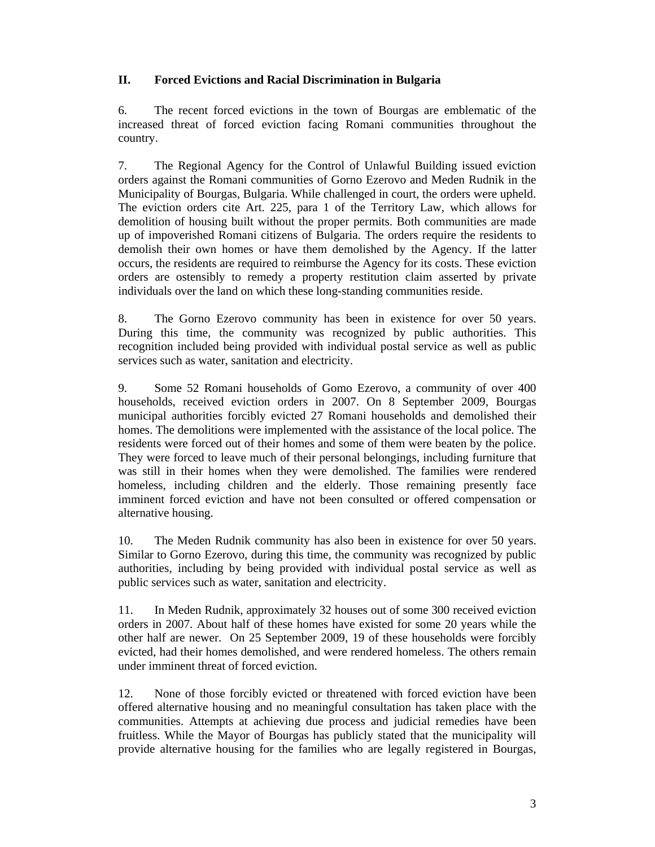## **II. Forced Evictions and Racial Discrimination in Bulgaria**

6. The recent forced evictions in the town of Bourgas are emblematic of the increased threat of forced eviction facing Romani communities throughout the country.

7. The Regional Agency for the Control of Unlawful Building issued eviction orders against the Romani communities of Gorno Ezerovo and Meden Rudnik in the Municipality of Bourgas, Bulgaria. While challenged in court, the orders were upheld. The eviction orders cite Art. 225, para 1 of the Territory Law, which allows for demolition of housing built without the proper permits. Both communities are made up of impoverished Romani citizens of Bulgaria. The orders require the residents to demolish their own homes or have them demolished by the Agency. If the latter occurs, the residents are required to reimburse the Agency for its costs. These eviction orders are ostensibly to remedy a property restitution claim asserted by private individuals over the land on which these long-standing communities reside.

8. The Gorno Ezerovo community has been in existence for over 50 years. During this time, the community was recognized by public authorities. This recognition included being provided with individual postal service as well as public services such as water, sanitation and electricity.

9. Some 52 Romani households of Gomo Ezerovo, a community of over 400 households, received eviction orders in 2007. On 8 September 2009, Bourgas municipal authorities forcibly evicted 27 Romani households and demolished their homes. The demolitions were implemented with the assistance of the local police. The residents were forced out of their homes and some of them were beaten by the police. They were forced to leave much of their personal belongings, including furniture that was still in their homes when they were demolished. The families were rendered homeless, including children and the elderly. Those remaining presently face imminent forced eviction and have not been consulted or offered compensation or alternative housing.

10. The Meden Rudnik community has also been in existence for over 50 years. Similar to Gorno Ezerovo, during this time, the community was recognized by public authorities, including by being provided with individual postal service as well as public services such as water, sanitation and electricity.

11. In Meden Rudnik, approximately 32 houses out of some 300 received eviction orders in 2007. About half of these homes have existed for some 20 years while the other half are newer. On 25 September 2009, 19 of these households were forcibly evicted, had their homes demolished, and were rendered homeless. The others remain under imminent threat of forced eviction.

12. None of those forcibly evicted or threatened with forced eviction have been offered alternative housing and no meaningful consultation has taken place with the communities. Attempts at achieving due process and judicial remedies have been fruitless. While the Mayor of Bourgas has publicly stated that the municipality will provide alternative housing for the families who are legally registered in Bourgas,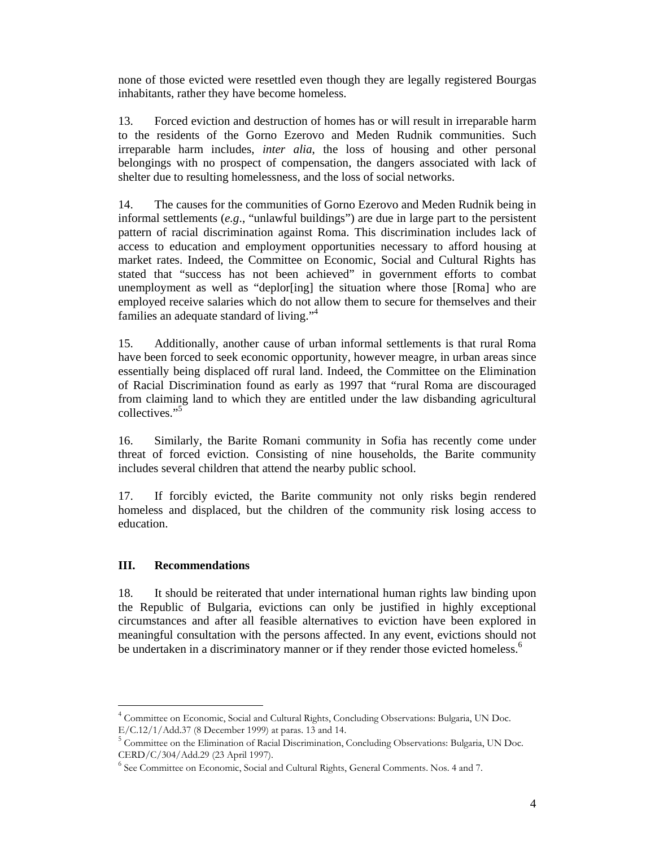none of those evicted were resettled even though they are legally registered Bourgas inhabitants, rather they have become homeless.

13. Forced eviction and destruction of homes has or will result in irreparable harm to the residents of the Gorno Ezerovo and Meden Rudnik communities. Such irreparable harm includes, *inter alia*, the loss of housing and other personal belongings with no prospect of compensation, the dangers associated with lack of shelter due to resulting homelessness, and the loss of social networks.

14. The causes for the communities of Gorno Ezerovo and Meden Rudnik being in informal settlements (*e.g*., "unlawful buildings") are due in large part to the persistent pattern of racial discrimination against Roma. This discrimination includes lack of access to education and employment opportunities necessary to afford housing at market rates. Indeed, the Committee on Economic, Social and Cultural Rights has stated that "success has not been achieved" in government efforts to combat unemployment as well as "deplor[ing] the situation where those [Roma] who are employed receive salaries which do not allow them to secure for themselves and their families an adequate standard of living."<sup>4</sup>

15. Additionally, another cause of urban informal settlements is that rural Roma have been forced to seek economic opportunity, however meagre, in urban areas since essentially being displaced off rural land. Indeed, the Committee on the Elimination of Racial Discrimination found as early as 1997 that "rural Roma are discouraged from claiming land to which they are entitled under the law disbanding agricultural collectives."<sup>5</sup>

16. Similarly, the Barite Romani community in Sofia has recently come under threat of forced eviction. Consisting of nine households, the Barite community includes several children that attend the nearby public school.

17. If forcibly evicted, the Barite community not only risks begin rendered homeless and displaced, but the children of the community risk losing access to education.

## **III. Recommendations**

 $\overline{a}$ 

18. It should be reiterated that under international human rights law binding upon the Republic of Bulgaria, evictions can only be justified in highly exceptional circumstances and after all feasible alternatives to eviction have been explored in meaningful consultation with the persons affected. In any event, evictions should not be undertaken in a discriminatory manner or if they render those evicted homeless.<sup>6</sup>

<sup>&</sup>lt;sup>4</sup> Committee on Economic, Social and Cultural Rights, Concluding Observations: Bulgaria, UN Doc. E/C.12/1/Add.37 (8 December 1999) at paras. 13 and 14.

<sup>&</sup>lt;sup>5</sup> Committee on the Elimination of Racial Discrimination, Concluding Observations: Bulgaria, UN Doc. CERD/C/304/Add.29 (23 April 1997).

<sup>&</sup>lt;sup>6</sup> See Committee on Economic, Social and Cultural Rights, General Comments. Nos. 4 and 7.